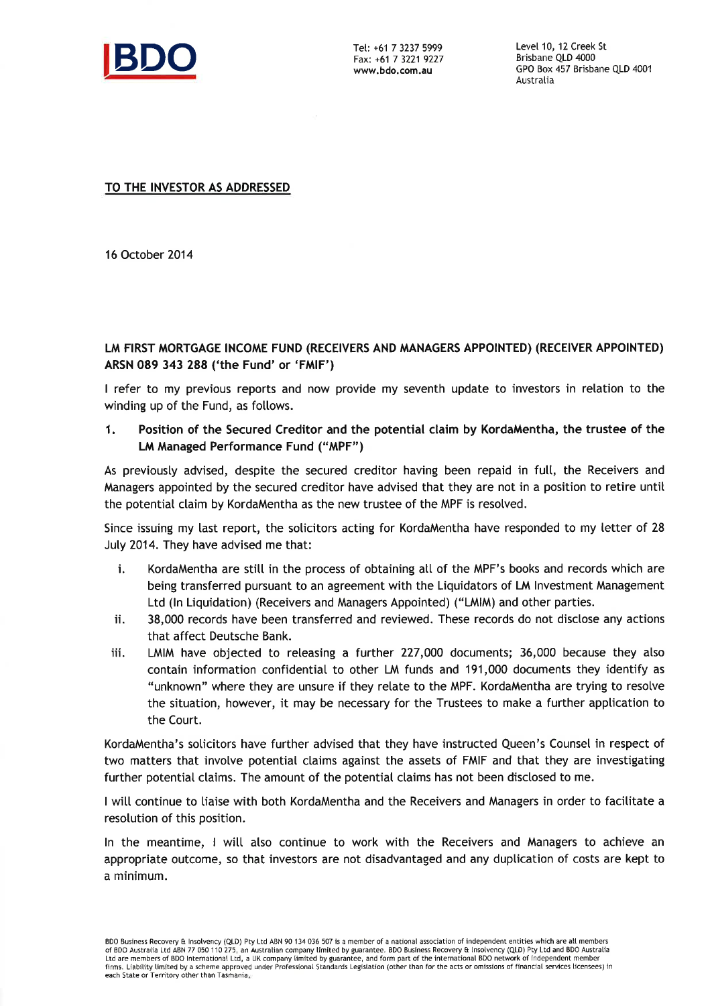

Fax: +61 7 3221 9227 www.bdo.com.au

Level 10, 12 Creek St Brisbane QLD 4000 GPO Box 457 Brisbane QLD 4001 Austratia

TO THE INVESTOR AS ADDRESSED

16 October 2014

### LM FIRST MORTGAGE INCOME FUND (RECEIVERS AND MANAGERS APPOINTED) (RECEIVER APPOINTED) ARSN 089 343 288 ('the Fund' or 'FMIF')

I refer to my previous reports and now provide my seventh update to investors in relation to the winding up of the Fund, as follows.

1. Position of the Secured Creditor and the potential claim by KordaMentha, the trustee of the LM Managed Performance Fund ('MPF")

As previously advised, despite the secured creditor having been repaid in full, the Receivers and Managers appointed by the secured creditor have advised that they are not in a position to retire until the potential claim by KordaMentha as the new trustee of the MPF is resolved.

Since issuing my last report, the solicitors acting for KordaMentha have responded to my letter of 28 July 2014. They have advised me that:

- i. KordaMentha are stitl in the process of obtaining att of the MPF's books and records which are being transferred pursuant to an agreement with the Liquidators of LM Investment Management Ltd (ln Liquidation) (Receivers and Managers Appointed) ("LMIM) and other parties.
- ii. 38,000 records have been transferred and reviewed. These records do not disclose any actions that affect Deutsche Bank.
- iii. LMIM have objected to reteasing a further 227,000 documents; 36,000 because they also contain information confidential to other LM funds and 191,000 documents they identify as "unknown" where they are unsure if they retate to the MPF. KordaMentha are trying to resotve the situation, however, it may be necessary for the Trustees to make a further application to the Court.

KordaMentha's soticitors have further advised that they have instructed Queen's Counsel in respect of two matters that involve potential claims against the assets of FMIF and that they are investigating further potential claims. The amount of the potential claims has not been disclosed to me.

I will continue to liaise with both KordaMentha and the Receivers and Managers in order to facilitate a resolution of this position.

In the meantime, I will also continue to work with the Receivers and Managers to achieve an appropriate outcome, so that investors are not disadvantaged and any duptication of costs are kept to a minimum.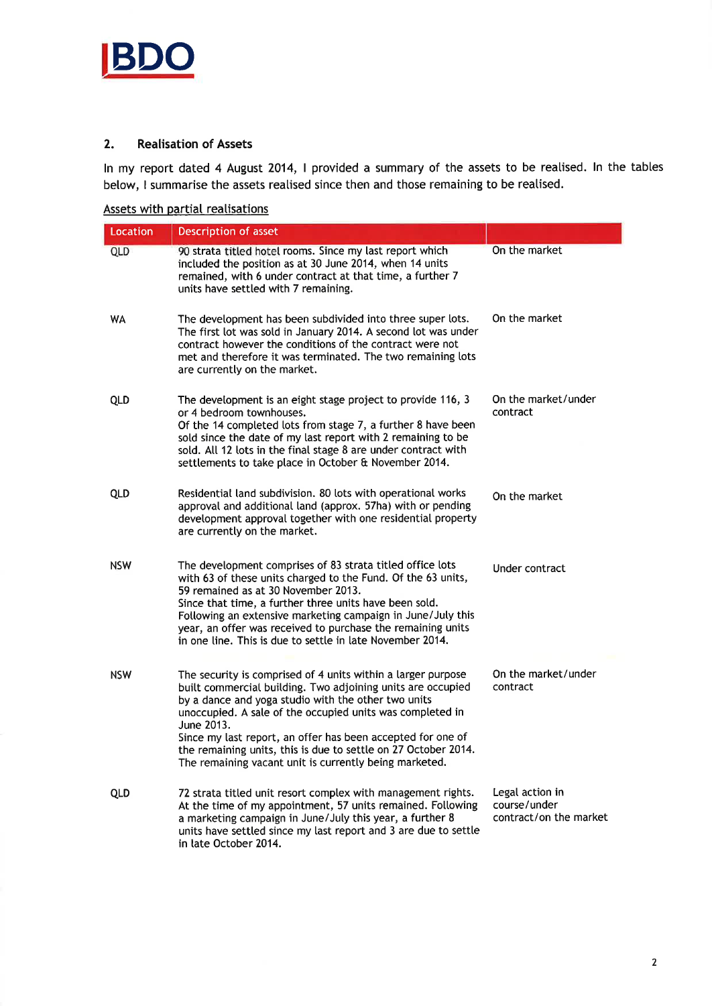

### 2. Realisation of Assets

ln my report dated 4 August 2014, I provided a summary of the assets to be reatised. ln the tables below, I summarise the assets reatised since then and those remaining to be reatised.

Assets with partial realisations

| Location   | Description of asset                                                                                                                                                                                                                                                                                                                                                                                                                                     |                                                           |
|------------|----------------------------------------------------------------------------------------------------------------------------------------------------------------------------------------------------------------------------------------------------------------------------------------------------------------------------------------------------------------------------------------------------------------------------------------------------------|-----------------------------------------------------------|
| QLD        | 90 strata titled hotel rooms. Since my last report which<br>included the position as at 30 June 2014, when 14 units<br>remained, with 6 under contract at that time, a further 7<br>units have settled with 7 remaining.                                                                                                                                                                                                                                 | On the market                                             |
| <b>WA</b>  | The development has been subdivided into three super lots.<br>The first lot was sold in January 2014. A second lot was under<br>contract however the conditions of the contract were not<br>met and therefore it was terminated. The two remaining lots<br>are currently on the market.                                                                                                                                                                  | On the market                                             |
| <b>QLD</b> | The development is an eight stage project to provide 116, 3<br>or 4 bedroom townhouses.<br>Of the 14 completed lots from stage 7, a further 8 have been<br>sold since the date of my last report with 2 remaining to be<br>sold. All 12 lots in the final stage 8 are under contract with<br>settlements to take place in October & November 2014.                                                                                                       | On the market/under<br>contract                           |
| <b>QLD</b> | Residential land subdivision. 80 lots with operational works<br>approval and additional land (approx. 57ha) with or pending<br>development approval together with one residential property<br>are currently on the market.                                                                                                                                                                                                                               | On the market                                             |
| <b>NSW</b> | The development comprises of 83 strata titled office lots<br>with 63 of these units charged to the Fund. Of the 63 units,<br>59 remained as at 30 November 2013.<br>Since that time, a further three units have been sold.<br>Following an extensive marketing campaign in June/July this<br>year, an offer was received to purchase the remaining units<br>in one line. This is due to settle in late November 2014.                                    | Under contract                                            |
| <b>NSW</b> | The security is comprised of 4 units within a larger purpose<br>built commercial building. Two adjoining units are occupied<br>by a dance and yoga studio with the other two units<br>unoccupied. A sale of the occupied units was completed in<br>June 2013.<br>Since my last report, an offer has been accepted for one of<br>the remaining units, this is due to settle on 27 October 2014.<br>The remaining vacant unit is currently being marketed. | On the market/under<br>contract                           |
| QLD        | 72 strata titled unit resort complex with management rights.<br>At the time of my appointment, 57 units remained. Following<br>a marketing campaign in June/July this year, a further 8<br>units have settled since my last report and 3 are due to settle<br>in late October 2014.                                                                                                                                                                      | Legal action in<br>course/under<br>contract/on the market |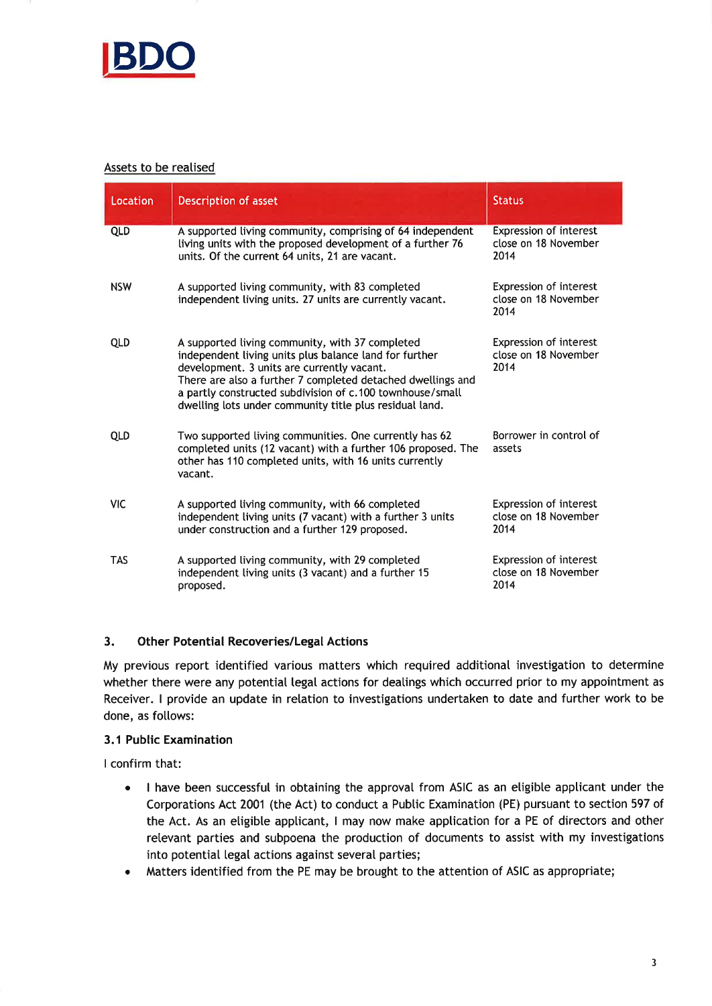

### Assets to be realised

| Location   | Description of asset                                                                                                                                                                                                                                                                                                                           | <b>Status</b>                                                 |
|------------|------------------------------------------------------------------------------------------------------------------------------------------------------------------------------------------------------------------------------------------------------------------------------------------------------------------------------------------------|---------------------------------------------------------------|
| <b>QLD</b> | A supported living community, comprising of 64 independent<br>living units with the proposed development of a further 76<br>units. Of the current 64 units, 21 are vacant.                                                                                                                                                                     | <b>Expression of interest</b><br>close on 18 November<br>2014 |
| <b>NSW</b> | A supported living community, with 83 completed<br>independent living units. 27 units are currently vacant.                                                                                                                                                                                                                                    | <b>Expression of interest</b><br>close on 18 November<br>2014 |
| <b>QLD</b> | A supported living community, with 37 completed<br>independent living units plus balance land for further<br>development. 3 units are currently vacant.<br>There are also a further 7 completed detached dwellings and<br>a partly constructed subdivision of c.100 townhouse/small<br>dwelling lots under community title plus residual land. | Expression of interest<br>close on 18 November<br>2014        |
| <b>QLD</b> | Two supported living communities. One currently has 62<br>completed units (12 vacant) with a further 106 proposed. The<br>other has 110 completed units, with 16 units currently<br>vacant.                                                                                                                                                    | Borrower in control of<br>assets                              |
| <b>VIC</b> | A supported living community, with 66 completed<br>independent living units (7 vacant) with a further 3 units<br>under construction and a further 129 proposed.                                                                                                                                                                                | <b>Expression of interest</b><br>close on 18 November<br>2014 |
| <b>TAS</b> | A supported living community, with 29 completed<br>independent living units (3 vacant) and a further 15<br>proposed.                                                                                                                                                                                                                           | <b>Expression of interest</b><br>close on 18 November<br>2014 |

### 3. Other Potential Recoveries/Legal Actions

My previous report identified various matters which required additional investigation to determine whether there were any potential legal actions for deatings which occurred prior to my appointment as Receiver. I provide an update in relation to investigations undertaken to date and further work to be done, as follows:

### 3.1 Public Examination

I confirm that:

- a I have been successful in obtaining the approval from ASIC as an eligibte appticant under the Corporations Act 2001 (the Act) to conduct a Public Examination (PE) pursuant to section 597 of the Act. As an eligible applicant, I may now make application for a PE of directors and other retevant parties and subpoena the production of documents to assist with my investigations into potential legal actions against several parties;
- Matters identified from the PE may be brought to the attention of ASIC as appropriate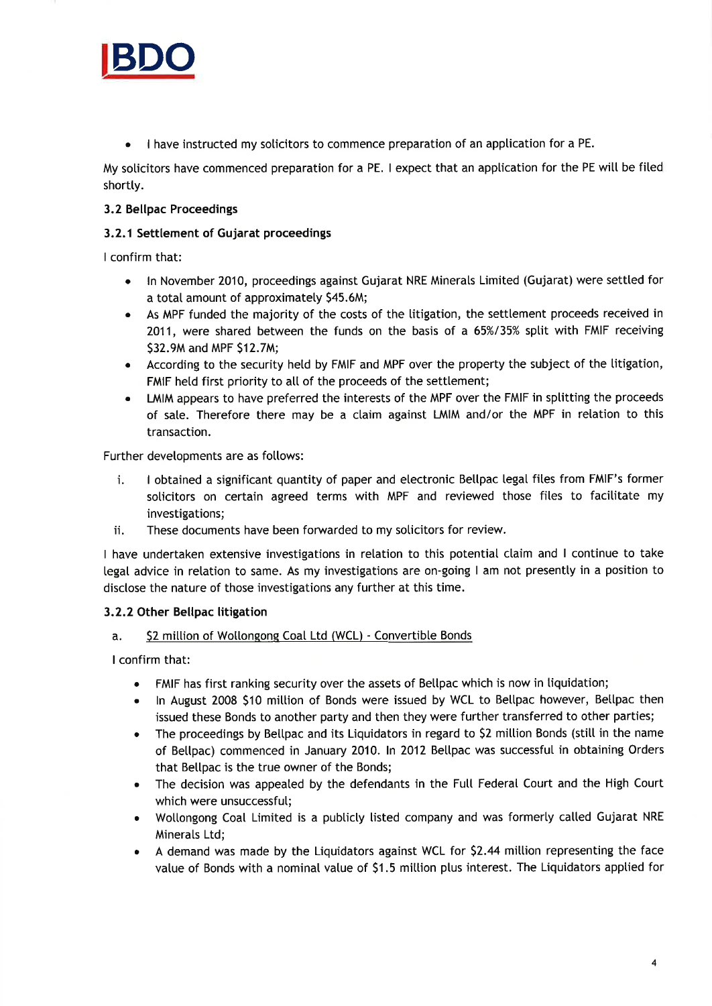

. I have instructed my soticitors to commence preparation of an apptication for a PE.

My soticitors have commenced preparation for a PE. I expect that an apptication for the PE witt be fited shortly.

### 3.2 Bellpac Proceedings

### 3.2.1 Settlement of Gujarat proceedings

I confirm that:

- ln November 2010, proceedings against Gujarat NRE Minerats Limited (Gujarat) were settted for a total amount of approximately \$45.6M; o
- As MPF funded the majority of the costs of the titigation, the settlement proceeds received in 2011, were shared between the funds on the basis of a 65%/35% sptit with FMIF receiving S32.9M and MPF 512.7M; a
- According to the security held by FMIF and MPF over the property the subject of the litigation FMIF held first priority to all of the proceeds of the settlement;
- LMIM appears to have preferred the interests of the MPF over the FMIF in splitting the proceeds of sale. Therefore there may be a claim against LMIM and/or the MPF in relation to this transaction. a

Further developments are as follows:

- i. I obtained a significant quantity of paper and electronic Bellpac legal files from FMIF's former solicitors on certain agreed terms with MPF and reviewed those fites to facilitate my investigations;
- ii. These documents have been forwarded to my soticitors for review.

I have undertaken extensive investigations in relation to this potential claim and I continue to take legal advice in relation to same. As my investigations are on-going I am not presentty in a position to disclose the nature of those investigations any further at this time.

### 3.2.2 Other Bellpac litigation

### a. **\$2 million of Wollongong Coal Ltd (WCL) - Convertible Bonds**

I confirm that:

- FMIF has first ranking security over the assets of Bellpac which is now in liquidation;
- In August 2008 \$10 million of Bonds were issued by WCL to Bellpac however, Bellpac then issued these Bonds to another party and then they were further transferred to other parties;
- The proceedings by Bellpac and its Liquidators in regard to \$2 million Bonds (still in the name of Bettpac) commenced in January 2010. ln 2012 Bettpac was successful in obtaining Orders that Bellpac is the true owner of the Bonds;
- The decision was appeated by the defendants in the Full Federal Court and the High Court which were unsuccessfut;
- Wollongong Coal Limited is a publicly listed company and was formerly called Gujarat NRE Minerals Ltd;
- A demand was made by the Liquidators against WCL for \$2.44 million representing the face value of Bonds with a nominal vatue of S1.5 mittion plus interest. The Liquidators apptied for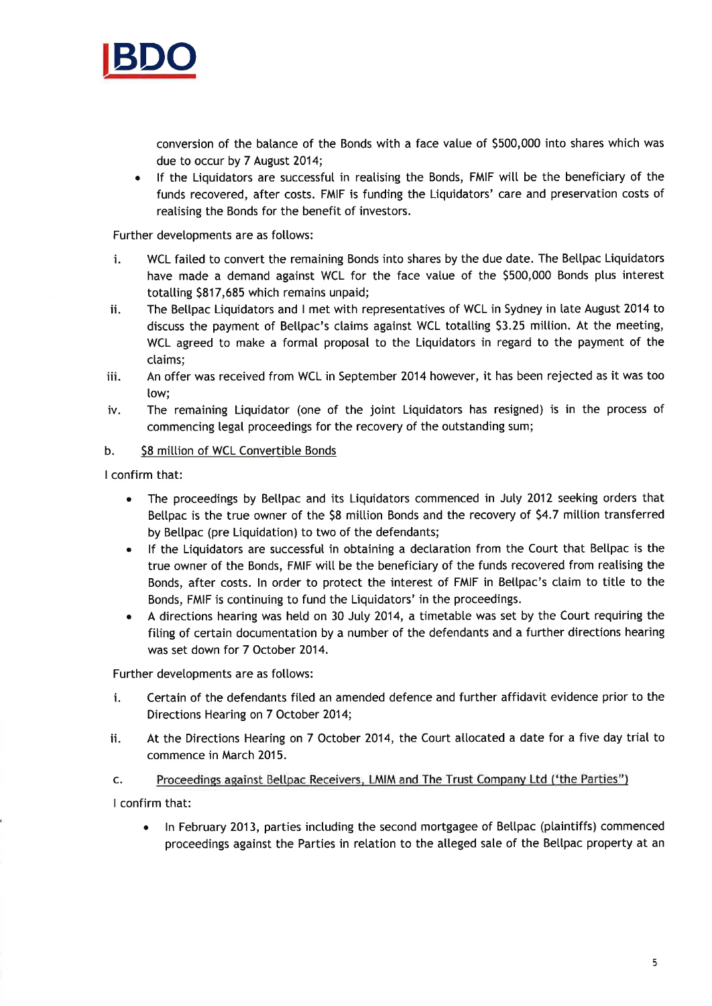

conversion of the balance of the Bonds with a face vatue of 5500,000 into shares which was due to occur by 7 August 2014;

If the Liquidators are successful in realising the Bonds, FMIF will be the beneficiary of the funds recovered, after costs. FMIF is funding the Liquidators' care and preservation costs of realising the Bonds for the benefit of investors.

Further developments are as follows:

- i. WCL failed to convert the remaining Bonds into shares by the due date. The Bellpac Liquidators have made a demand against WCL for the face value of the \$500,000 Bonds plus interest totalling \$817,685 which remains unpaid;
- ii. The Bellpac Liquidators and I met with representatives of WCL in Sydney in late August 2014 to discuss the payment of Bellpac's claims against WCL totalling \$3.25 million. At the meeting, WCL agreed to make a formal proposal to the Liquidators in regard to the payment of the claims:
- iii. An offer was received from WCL in September 2014 however, it has been rejected as it was too Iow;
- iv. The remaining Liquidator (one of the joint Liquidators has resigned) is in the process of commencing legat proceedings for the recovery of the outstanding sum;

### b. \$8 million of WCL Convertible Bonds

I confirm that:

- a The proceedings by Bellpac and its Liquidators commenced in July 2012 seeking orders that Bettpac is the true owner of the 58 mittion Bonds and the recovery of 54.7 mittion transferred by Bellpac (pre Liquidation) to two of the defendants;
- a lf the Liquidators are successful in obtaining a dectaration from the Court that Bettpac is the true owner of the Bonds, FMIF will be the beneficiary of the funds recovered from realising the Bonds, after costs. In order to protect the interest of FMIF in Bellpac's claim to title to the Bonds, FMIF is continuing to fund the Liquidators' in the proceedings.
- A directions hearing was hetd on 30 Juty 2014, a timetable was set by the Court requiring the fiting of certain documentation by a number of the defendants and a further directions hearing was set down for 7 October 2014. a

Further developments are as follows:

- i. Certain of the defendants fited an amended defence and further affidavit evidence prior to the Directions Hearing on 7 October 2014;
- ii. At the Directions Hearing on 7 October 2014, the Court atlocated a date for a five day trial to commence in March 2015.

Proceedings against Bellpac Receivers, LMIM and The Trust Company Ltd ('the Parties") c.

I confirm that:

• In February 2013, parties including the second mortgagee of Bellpac (plaintiffs) commenced proceedings against the Parties in relation to the alleged sale of the Bellpac property at an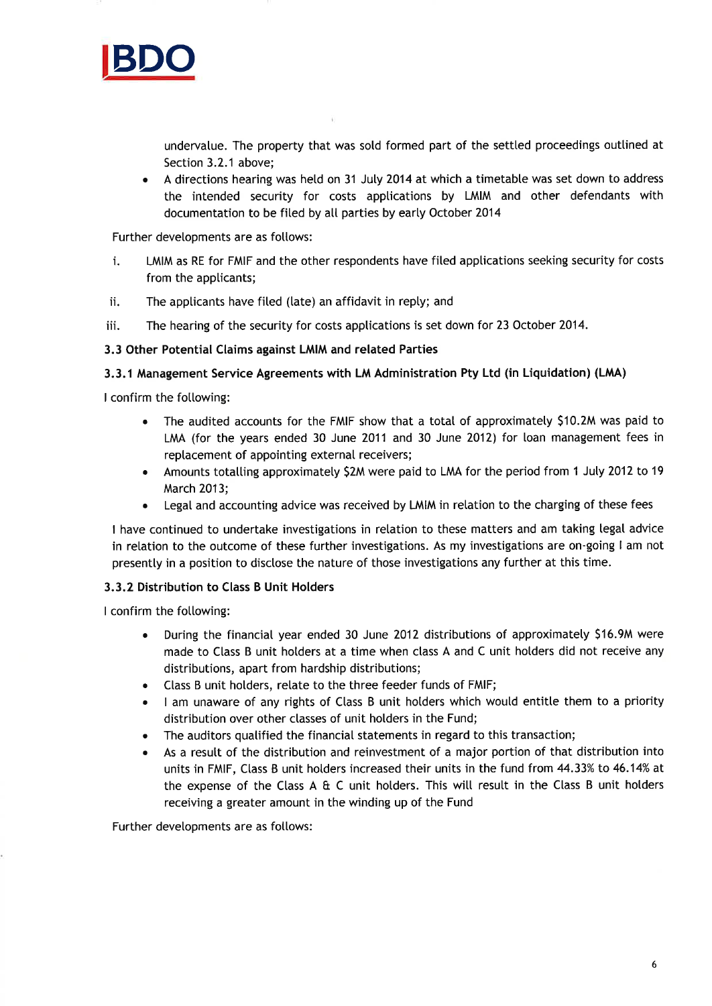

undervatue. The property that was sold formed part of the settled proceedings outtined at Section 3.2.1 above;

A directions hearing was held on 31 July 2014 at which a timetable was set down to address the intended security for costs apptications by LMIM and other defendants with documentation to be filed by all parties by early October 2014

Further developments are as follows:

- i. LMIM as RE for FMIF and the other respondents have fited apptications seeking security for costs from the applicants;
- ii. The applicants have filed (late) an affidavit in reply; and
- iii. The hearing of the security for costs applications is set down for 23 October 2014.

### 3.3 Other Potential Claims against LMIM and related Parties

### 3.3.1 Management Service Agreements with LM Administration Pty Ltd (in Liquidation) (LMA)

I confirm the following:

- The audited accounts for the FMIF show that a total of approximately \$10.2M was paid to LMA (for the years ended 30 June 2011 and 30 June 2012) for loan management fees in replacement of appointing external receivers;
- Amounts totalling approximately \$2M were paid to LMA for the period from 1 July 2012 to 19 March 2013;
- . Legal and accounting advice was received by LMIM in retation to the charging of these fees

I have continued to undertake investigations in relation to these matters and am taking legal advice in relation to the outcome of these further investigations. As my investigations are on-going I am not presentty in a position to disclose the nature of those investigations any further at this time.

### 3.3.2 Distribution to Class B Unit Holders

I confirm the following:

- . During the financial year ended 30 June 2012 distributions of approximatety 51ó.9M were made to Class B unit holders at a time when class A and C unit holders did not receive any distributions, apart from hardship distributions;
- . Class B unit hotders, retate to the three feeder funds of FMIF;
- I am unaware of any rights of Class B unit holders which would entitle them to a priority distribution over other classes of unit holders in the Fund;
- . The auditors qualified the financial statements in regard to this transaction;
- As a result of the distribution and reinvestment of a major portion of that distribution into units in FMIF, Class B unit holders increased their units in the fund from 44.33% to 46.14% at the expense of the Class A & C unit holders. This will result in the Class B unit holders receiving a greater amount in the winding up of the Fund

Further developments are as fotlows: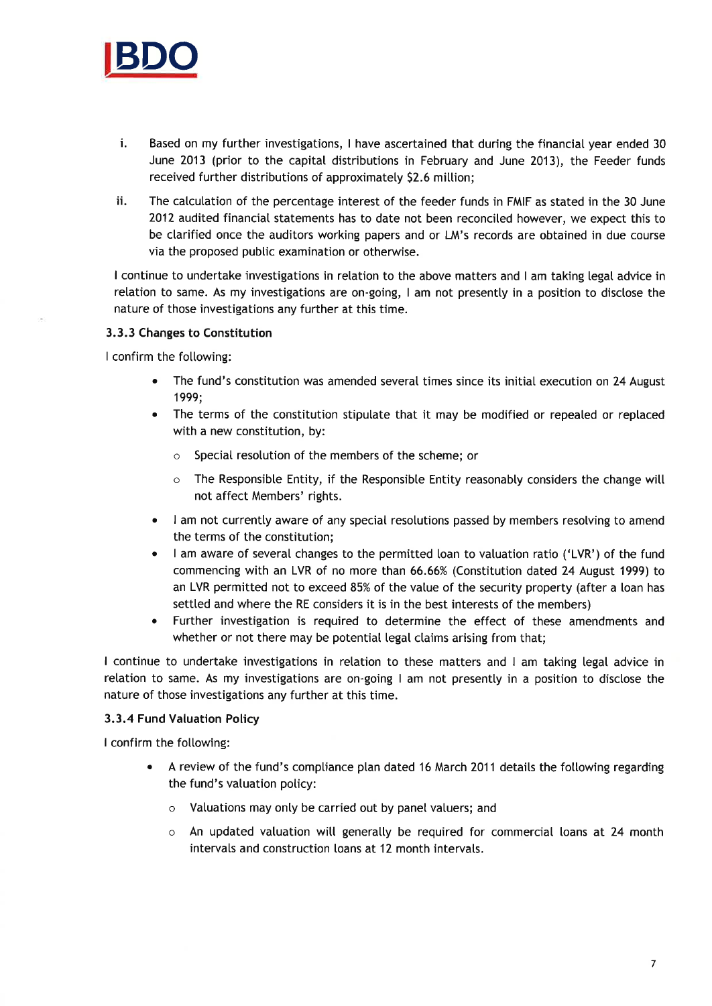

- i. Based on my further investigations, I have ascertained that during the financial year ended <sup>30</sup> June 2013 (prior to the capital distributions in February and June 2013), the Feeder funds received further distributions of approximately \$2.6 million;
- ii. The catculation of the percentage interest of the feeder funds in FMIF as stated in the 30 June 2012 audited financial statements has to date not been reconciled however, we expect this to be clarified once the auditors working papers and or  $LM$ 's records are obtained in due course via the proposed pubtic examination or otherwise.

I continue to undertake investigations in relation to the above matters and I am taking legal advice in relation to same. As my investigations are on-going, I am not presently in a position to disclose the nature of those investigations any further at this time.

### 3.3.3 Changes to Constitution

I confirm the following:

- The fund's constitution was amended several times since its initial execution on 24 August 1999;
- The terms of the constitution stipulate that it may be modified or repealed or replaced with a new constitution, by:
	- o Special resotution of the members of the scheme; or
	- $\circ$  The Responsible Entity, if the Responsible Entity reasonably considers the change will not affect Members' rights.
- I am not currently aware of any special resolutions passed by members resolving to amend the terms of the constitution;
- I am aware of several changes to the permitted loan to valuation ratio ('LVR') of the fund commencing with an LVR of no more than 66.ó6% (Constitution dated 24 August 1999) to an LVR permitted not to exceed 85% of the value of the security property (after a loan has settted and where the RE considers it is in the best interests of the members)
- Further investigation is required to determine the effect of these amendments and whether or not there may be potential legal claims arising from that;

I continue to undertake investigations in retation to these matters and I am taking legal advice in relation to same. As my investigations are on-going I am not presently in a position to disclose the nature of those investigations any further at this time.

### 3.3.4 Fund Valuation Policy

I confirm the following:

- . A review of the fund's compliance plan dated 16 March 201 1 detaits the fotlowing regarding the fund's vatuation policy:
	- $\circ$  Valuations may only be carried out by panel valuers; and
	- $\circ$  An updated valuation will generally be required for commercial loans at 24 month intervals and construction loans at 12 month intervals.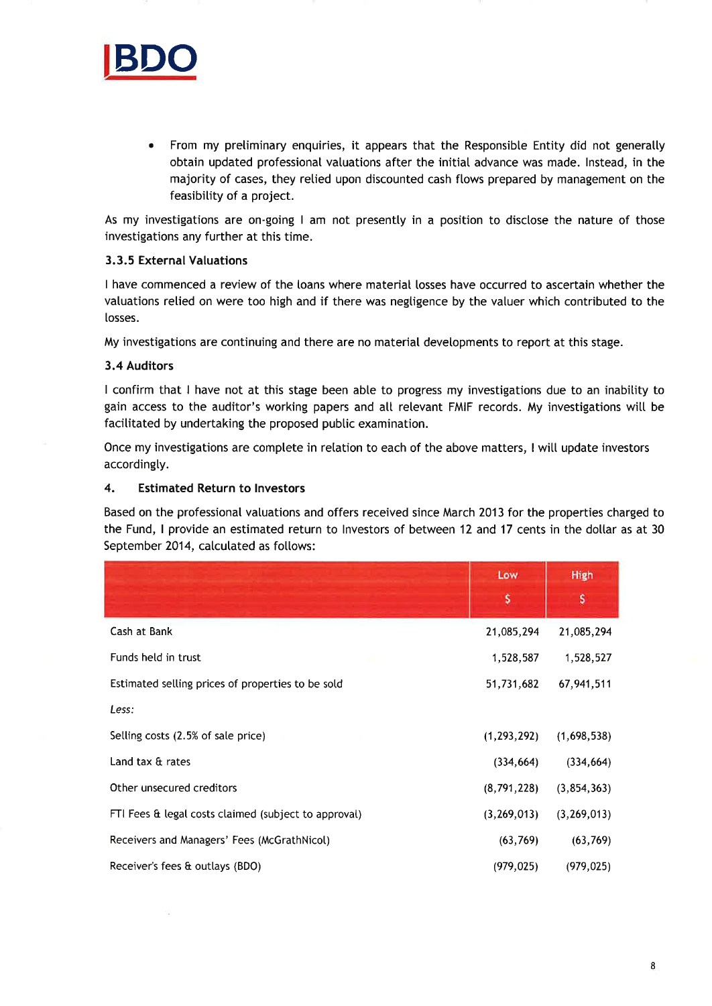

. From my preliminary enquiries, it appears that the Responsibte Entity did not generalty obtain updated professional vatuations after the initial advance was made. lnstead, in the majority of cases, they retied upon discounted cash ftows prepared by management on the feasibility of a project.

As my investigations are on-going I am not presently in a position to disclose the nature of those investigations any further at this time.

### 3.3.5 External Valuations

I have commenced a review of the loans where material losses have occurred to ascertain whether the valuations relied on were too high and if there was negligence by the valuer which contributed to the losses.

My investigations are continuing and there are no material devetopments to report at this stage.

#### 3.4 Auditors

I confirm that I have not at this stage been able to progress my investigations due to an inabitity to gain access to the auditor's working papers and atl relevant FMIF records. My investigations witt be facilitated by undertaking the proposed public examination.

Once my investigations are complete in relation to each of the above matters, I wilt update investors accordingly.

### 4. Estimated Return to lnvestors

Based on the professional valuations and offers received since March 2013 for the properties charged to the Fund, I provide an estimated return to Investors of between 12 and 17 cents in the dollar as at 30 September 2014, calculated as follows:

|                                                      | Low           | High          |
|------------------------------------------------------|---------------|---------------|
|                                                      | \$            | s             |
| Cash at Bank                                         | 21,085,294    | 21,085,294    |
| Funds held in trust                                  | 1,528,587     | 1,528,527     |
| Estimated selling prices of properties to be sold    | 51,731,682    | 67,941,511    |
| Less:                                                |               |               |
| Selling costs (2.5% of sale price)                   | (1, 293, 292) | (1,698,538)   |
| Land tax & rates                                     | (334, 664)    | (334, 664)    |
| Other unsecured creditors                            | (8,791,228)   | (3, 854, 363) |
| FTI Fees & legal costs claimed (subject to approval) | (3, 269, 013) | (3, 269, 013) |
| Receivers and Managers' Fees (McGrathNicol)          | (63, 769)     | (63, 769)     |
| Receiver's fees & outlays (BDO)                      | (979, 025)    | (979, 025)    |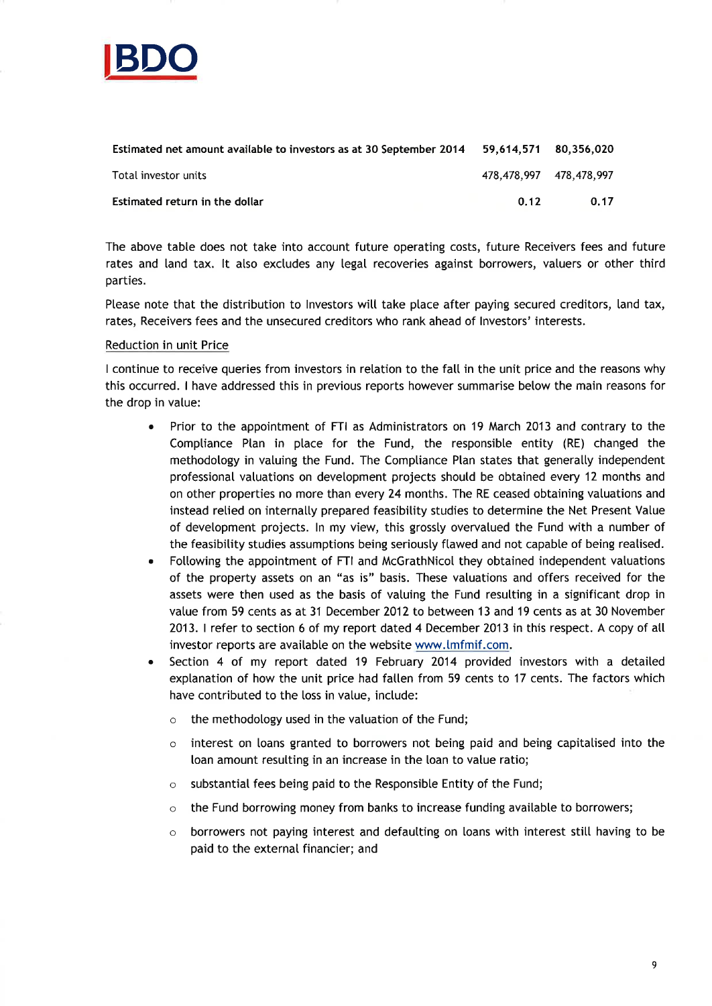

| Estimated net amount available to investors as at 30 September 2014 59,614,571 80,356,020 |                         |      |
|-------------------------------------------------------------------------------------------|-------------------------|------|
| Total investor units                                                                      | 478.478.997 478.478.997 |      |
| Estimated return in the dollar                                                            | 0.12                    | 0.17 |

The above table does not take into account future operating costs, future Receivers fees and future rates and land tax. It also excludes any legal recoveries against borrowers, valuers or other third parties.

Please note that the distribution to Investors will take place after paying secured creditors, land tax, rates, Receivers fees and the unsecured creditors who rank ahead of lnvestors' interests.

#### Reduction in unit Price

I continue to receive queries from investors in relation to the fall in the unit price and the reasons why this occurred. I have addressed this in previous reports however summarise below the main reasons for the drop in vatue:

- Prior to the appointment of FTI as Administrators on 19 March 2013 and contrary to the Compliance Plan in place for the Fund, the responsible entity (RE) changed the methodology in valuing the Fund. The Comptiance Plan states that generally independent professionaI valuations on development projects shoutd be obtained every 12 months and on other properties no more than every 24 months. The RE ceased obtaining vatuations and instead relied on internally prepared feasibility studies to determine the Net Present Value of development projects. ln my view, this grossty overvatued the Fund with a number of the feasibility studies assumptions being seriously ftawed and not capabte of being reatised.
- Following the appointment of FTI and McGrathNicol they obtained independent valuations of the property assets on an "as is" basis. These vatuations and offers received for the assets were then used as the basis of vatuing the Fund resulting in a significant drop in value from 59 cents as at 31 December 2012 to between 13 and 19 cents as at 30 November 2013. I refer to section 6 of my report dated 4 December 2013 in this respect. A copy of all investor reports are available on the website www.lmfmif.com.
- . Section 4 of my report dated 19 February 2014 provided investors with a detaited explanation of how the unit price had fatlen from 59 cents to 17 cents. The factors which have contributed to the loss in value, include:
	- $\circ$  the methodology used in the valuation of the Fund;
	- $\circ$  interest on loans granted to borrowers not being paid and being capitalised into the loan amount resulting in an increase in the loan to vatue ratio;
	- $\circ$  substantial fees being paid to the Responsible Entity of the Fund;
	- o the Fund borrowing money from banks to increase funding available to borrowers;
	- o borrowers not paying interest and defautting on loans with interest still having to be paid to the external financier; and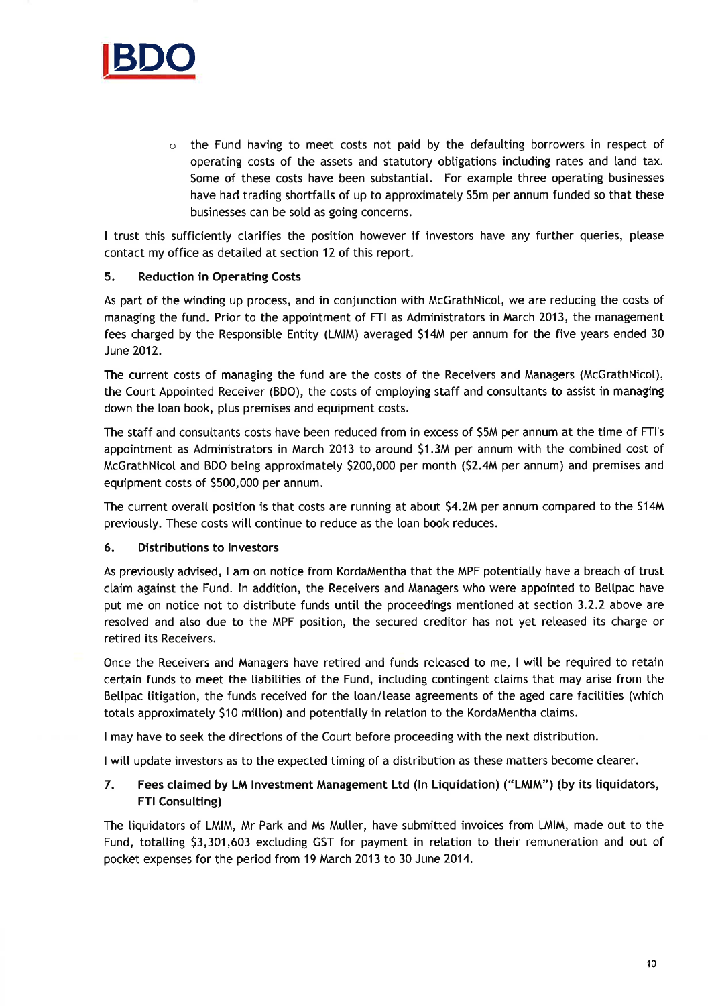

 $\circ$  the Fund having to meet costs not paid by the defaulting borrowers in respect of operating costs of the assets and statutory obtigations including rates and land tax. Some of these costs have been substantiat. For exampte three operating businesses have had trading shortfatls of up to approximately S5m per annum funded so that these businesses can be sotd as going concerns.

I trust this sufficiently clarifies the position however if investors have any further queries, please contact my office as detailed at section 12 of this report.

### 5. Reduction in Operating Costs

As part of the winding up process, and in conjunction with McGrathNicot, we are reducing the costs of managing the fund. Prior to the appointment of FTI as Administrators in March 2013, the management fees charged by the Responsible Entity (LMIM) averaged 514M per annum for the five years ended <sup>30</sup> June 2012.

The current costs of managing the fund are the costs of the Receivers and Managers (McGrathNicot), the Court Appointed Receiver (BDO), the costs of employing staff and consultants to assist in managing down the loan book, plus premises and equipment costs.

The staff and consultants costs have been reduced from in excess of S5M per annum at the time of FTI's appointment as Administrators in March 2013 to around S1.3M per annum with the combined cost of McGrathNicol and BDO being approximately \$200,000 per month (\$2.4M per annum) and premises and equipment costs of S500,000 per annum.

The current overall position is that costs are running at about 54.2M per annum compared to the S14M previously. These costs will continue to reduce as the loan book reduces.

### 6. Distributions to lnvestors

As previousty advised, I am on notice from KordaMentha that the MPF potentiatly have a breach of trust ctaim against the Fund. ln addition, the Receivers and Managers who were appointed to Bettpac have put me on notice not to distribute funds until the proceedings mentioned at section 3.2.2 above are resolved and atso due to the MPF position, the secured creditor has not yet released its charge or retired its Receivers.

Once the Receivers and Managers have retired and funds reteased to me, I witt be required to retain certain funds to meet the tiabitities of the Fund, inctuding contingent ctaims that may arise from the Betlpac litigation, the funds received for the loan/lease agreements of the aged care facilities (which totals approximately \$10 million) and potentially in relation to the KordaMentha claims.

I may have to seek the directions of the Court before proceeding with the next distribution.

I will update investors as to the expected timing of a distribution as these matters become clearer.

### 7. Fees claimed by LM lnvestment Management Ltd (ln Liquidation) ('LM|M") (by its liquidators, FTI Consulting)

The tiquidators of LMIM, Mr Park and Ms Muller, have submitted invoices from LMIM, made out to the Fund, totalling \$3,301,603 excluding GST for payment in relation to their remuneration and out of pocket expenses for the period from 19 March 2013 to 30 June 2014.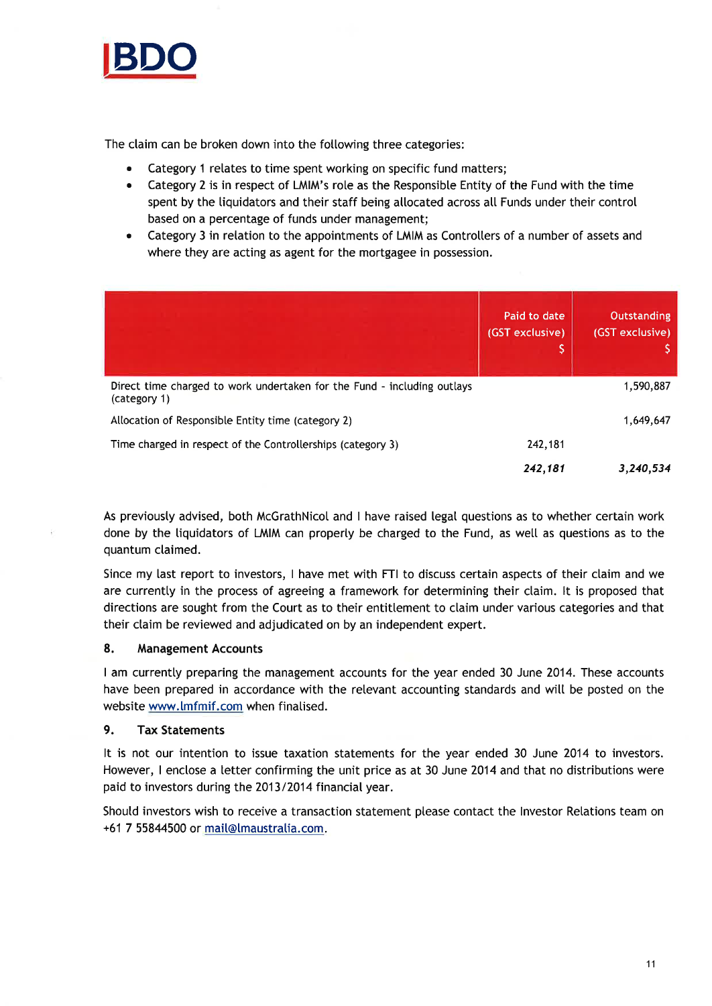

The claim can be broken down into the following three categories:

- Category 1 relates to time spent working on specific fund matters;
- Category 2 is in respect of LMIM's role as the Responsible Entity of the Fund with the time spent by the tiquidators and their staff being allocated across atl Funds under their control based on a percentage of funds under management;
- Category 3 in relation to the appointments of LMIM as Controllers of a number of assets and where they are acting as agent for the mortgagee in possession.

|                                                                                         | Paid to date<br>(GST exclusive)<br>IŞ, | <b>Outstanding</b><br>(GST exclusive) |
|-----------------------------------------------------------------------------------------|----------------------------------------|---------------------------------------|
| Direct time charged to work undertaken for the Fund - including outlays<br>(category 1) |                                        | 1,590,887                             |
| Allocation of Responsible Entity time (category 2)                                      |                                        | 1,649,647                             |
| Time charged in respect of the Controllerships (category 3)                             | 242,181                                |                                       |
|                                                                                         | 242,181                                | 3,240,534                             |

As previously advised, both McGrathNicol and I have raised legal questions as to whether certain work done by the liquidators of LMIM can properly be charged to the Fund, as well as questions as to the quantum claimed.

Since my last report to investors, I have met with FTI to discuss certain aspects of their claim and we are currentty in the process of agreeing a framework for determining their claim. lt is proposed that directions are sought from the Court as to their entittement to claim under various categories and that their claim be reviewed and adjudicated on by an independent expert.

### 8. Management Accounts

I am currentty preparing the management accounts for the year ended 30 June 2014. These accounts have been prepared in accordance with the relevant accounting standards and will be posted on the website www.lmfmif.com when finalised.

## 9. Tax Statements

It is not our intention to issue taxation statements for the year ended 30 June 2014 to investors. However, I enclose a letter confirming the unit price as at 30 June 2014 and that no distributions were paid to investors during the 2013/2014 financial year.

Should investors wish to receive a transaction statement please contact the Investor Relations team on +61 7 55844500 or mail@lmaustralia.com.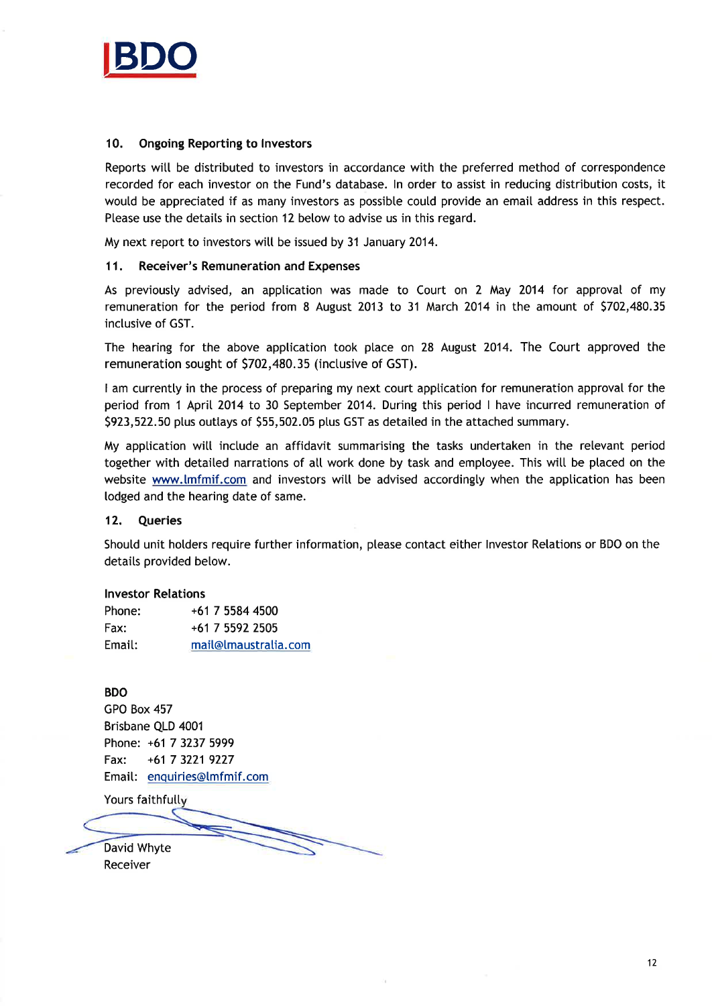

### 10. Ongoing Reporting to lnvestors

Reports will be distributed to investors in accordance with the preferred method of correspondence recorded for each investor on the Fund's database. ln order to assist in reducing distribution costs, it woutd be appreciated if as many investors as possibte could provide an email address in this respect. Please use the details in section 12 below to advise us in this regard.

My next report to investors witt be issued by 31 January 2014.

### 11. Receiver's Remuneration and Expenses

As previousty advised, an application was made to Court on 2 May 2014 for approval of my remuneration for the period from 8 August 2013 to 31 March 2014 in the amount of \$702,480.35 inclusive of GST.

The hearing for the above application took place on 28 August 2014. The Court approved the remuneration sought of \$702,480.35 (inclusive of GST).

I am currentty in the process of preparing my next court apptication for remuneration approval for the period from 1 April 2014 to 30 September 2014. During this period I have incurred remuneration of 5923,522.50 ptus outtays of 555,502.05 ptus GST as detailed in the attached summary.

My apptication witl inctude an affidavit summarising the tasks undertaken in the relevant period together with detaited narrations of atl work done by task and employee. This witt be placed on the website www.lmfmif.com and investors will be advised accordingly when the application has been todged and the hearing date of same.

### 12. Queries

Shoutd unit holders require further information, ptease contact either lnvestor Retations or BDO on the details provided below.

#### lnvestor Relations

| Phone: | +61 7 5584 4500      |
|--------|----------------------|
| Fax:   | +61 7 5592 2505      |
| Email: | mail@Imaustralia.com |

### BDO

GPO Box 457 Brisbane QLD 4001 Phone: +61 7 3237 5999 Fax: +61 7 3221 9227 Email: enquiries@[mfmif.com

Yours faithfully

David Whyte Receiver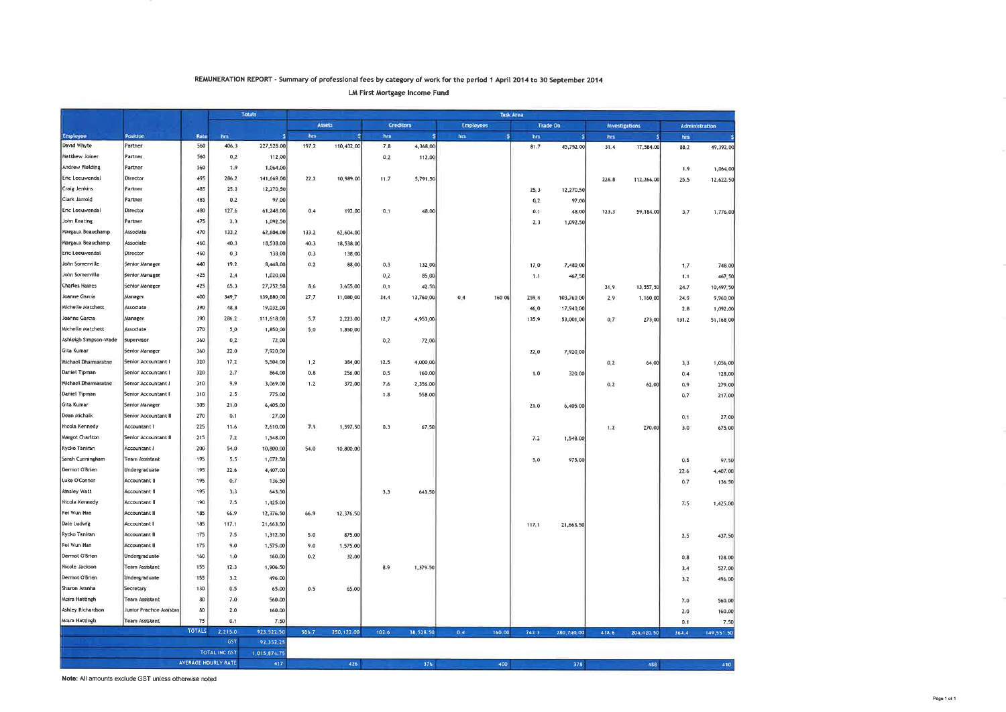#### REMUNERATION REPORT - Summãry of professional fees by category of work for the period I April 2Ol4 to 30 September 2Ol4

LM First Mortgage Income Fund

|                       |                          |               |                      | <b>Totals</b> |          |              |         | Task Area |                  |        |       |                 |         |                       |         |                |
|-----------------------|--------------------------|---------------|----------------------|---------------|----------|--------------|---------|-----------|------------------|--------|-------|-----------------|---------|-----------------------|---------|----------------|
|                       |                          |               |                      |               |          | Assets       |         | Creditors | <b>Employees</b> |        |       | <b>Trade On</b> |         | <b>Investigations</b> |         | Administration |
| Employee              | Position                 | Rate          | hes                  |               | hrs      | $\mathbf{s}$ | hrs     | ÷         | hm               | ж      | hrs   | ٩               | hrs.    |                       | hrs.    | s              |
| David Whyte           | Partner                  | 560           | 406.3                | 227,528.00    | 197.2    | 110,432,00   | $7 - 8$ | 4,368.00  |                  |        | 81.7  | 45,752,00       | 31,4    | 17,584.00             | 88.2    | 49,392.00      |
| Matthew Joiner        | Partner                  | 560           | 0.2                  | 112,00        |          |              | 0.2     | 112.00    |                  |        |       |                 |         |                       |         |                |
| Andrew Fielding       | Partner                  | 560           | 1.9                  | 1,064.00      |          |              |         |           |                  |        |       |                 |         |                       | 1.9     | 1,064.00       |
| Eric Leeuwendal       | Director                 | 495           | 286.2                | 141,669,00    | $22 - 2$ | 10,989.00    | $11-7$  | 5,791.50  |                  |        |       |                 | 226.8   | 112,266.00            | 25.5    | 12,622.50      |
| Craig Jenkins         | Partner                  | 485           | 25.3                 | 12,270.50     |          |              |         |           |                  |        | 25.3  | 12,270.50       |         |                       |         |                |
| Clark Jarrold         | Partner                  | 485           | 0.2                  | 97.00         |          |              |         |           |                  |        | 0.2   | 97.00           |         |                       |         |                |
| Eric Leeuwendal       | Director                 | 480           | 127.6                | 61,248.00     | 0.4      | 192.00       | 0.1     | 48.00     |                  |        | 0.1   | 48,00           | 123.3   | 59,184.00             | 3,7     | 1,776.00       |
| John Keating          | Partner                  | 475           | 2.3                  | 1,092.50      |          |              |         |           |                  |        | 2,3   | 1,092.50        |         |                       |         |                |
| Margaux Beauchamp     | Associate                | 470           | 133.2                | 62,604.00     | 133.2    | 62,604.00    |         |           |                  |        |       |                 |         |                       |         |                |
| Margaux Beauchamp     | Associate                | 460           | 40.3                 | 18,538.00     | 40.3     | 18,538.00    |         |           |                  |        |       |                 |         |                       |         |                |
| Eric Leeuwendal       | Director                 | 460           | 0.3                  | 138.00        | 0.3      | 138,00       |         |           |                  |        |       |                 |         |                       |         |                |
| John Somerville       | Senior Manager           | 440           | 19.2                 | 8,448.00      | 0.2      | 88.00        | 0.3     | 132.00    |                  |        | 17.0  | 7,480.00        |         |                       | 1.7     | 748.00         |
| John Somerville       | <b>Senior Manager</b>    | 425           | $2 - 4$              | 1,020.00      |          |              | 0.2     | 85.00     |                  |        | 1.1   | 467.50          |         |                       | 1.1     | 467.50         |
| <b>Charles Haines</b> | Senior Manager           | 425           | 65.3                 | 27,752.50     | 8.6      | 3,655.00     | 0.1     | 42.50     |                  |        |       |                 | 31.9    | 13,557.50             | 24.7    | 10,497.50      |
| Joanne Garcia         | <b>Manager</b>           | 400           | 349.7                | 139,880.00    | $27 - 7$ | 11,080.00    | 34.4    | 13,760.00 | 0.4              | 160.00 | 259.4 | 103,760.00      | 2.9     | 1,160,00              | 24,9    | 9,960.00       |
| Michelle Matchett     | Associate                | 390           | 48.8                 | 19,032.00     |          |              |         |           |                  |        | 46.0  | 17,940.00       |         |                       | 2.8     | 1,092.00       |
| Joanne Garcia         | Manager                  | 390           | 286.2                | 111,618.00    | 5.7      | 2,223.00     | 12.7    | 4,953.00  |                  |        | 135.9 | 53,001.00       | 0.7     | 273,00                | 131.2   | 51,168.00      |
| Michelle Matchett     | Associate                | 370           | 5.0                  | 1,850.00      | 5,0      | 1,850,00     |         |           |                  |        |       |                 |         |                       |         |                |
| Ashleigh Simpson-Wade | Supervisor               | 360           | 0,2                  | 72.00         |          |              | 0,2     | 72,00     |                  |        |       |                 |         |                       |         |                |
| Gita Kumar            | Senior Manager           | 360           | 22.0                 | 7,920.00      |          |              |         |           |                  |        | 22.0  | 7,920.00        |         |                       |         |                |
| Michael Dharmaratne   | Senior Accountant I      | 320           | $17 - 2$             | 5,504.00      | $1 - 2$  | 384.00       | 12.5    | 4,000.00  |                  |        |       |                 | 0.2     | 64,00                 | 3,3     | 1,056.00       |
| Daniel Tipman         | Senior Accountant I      | 320           | $2 - 7$              | 864.00        | 0.8      | 256,00       | 0,5     | 160,00    |                  |        | 1.0   | 320,00          |         |                       | 0,4     | 128,00         |
| Michael Dharmaratne   | Senior Accountant I      | 310           | 9.9                  | 3,069.00      | 1.2      | 372.00       | 7.6     | 2,356.00  |                  |        |       |                 | $0 - 2$ | 62,00                 | 0.9     | 279,00         |
| Daniel Tipman         | Senior Accountant I      | 310           | 2.5                  | 775.00        |          |              | 1.8     | 558.00    |                  |        |       |                 |         |                       | 0,7     | 217,00         |
| Gita Kumar            | Senior Manager           | 305           | 21.0                 | 6,405,00      |          |              |         |           |                  |        | 21.0  | 6,405,00        |         |                       |         |                |
| Dean Michalk          | Senior Accountant II     | 270           | 0.1                  | 27.00         |          |              |         |           |                  |        |       |                 |         |                       | 0,1     | 27.00          |
| Nicola Kennedy        | Accountant I             | 225           | 11.6                 | 2,610.00      | 7.1      | 1,597.50     | 0.3     | 67.50     |                  |        |       |                 | $1 - 2$ | 270.00                | 3.0     | 675.00         |
| Margot Charlton       | Senior Accountant II     | 215           | 7.2                  | 1,548.00      |          |              |         |           |                  |        | 7.2   | 1,548.00        |         |                       |         |                |
| Rycko Taniran         | Accountant i             | 200           | 54.0                 | 10,800.00     | 54.0     | 10,800.00    |         |           |                  |        |       |                 |         |                       |         |                |
| Sarah Cunningham      | <b>Team Assistant</b>    | 195           | 5, 5                 | 1,072.50      |          |              |         |           |                  |        | 5.0   | 975,00          |         |                       | 0.5     | 97.50          |
| Dermot O'Brien        | Undergraduate            | 195           | 22.6                 | 4,407.00      |          |              |         |           |                  |        |       |                 |         |                       | 22.6    | 4,407.00       |
| Luke O'Connor         | <b>Accountant II</b>     | 195           | 0.7                  | 136.50        |          |              |         |           |                  |        |       |                 |         |                       | 0.7     | 136.50         |
| <b>Ainsley Watt</b>   | Accountant II            | 195           | 3,3                  | 643.50        |          |              | 3,3     | 643.50    |                  |        |       |                 |         |                       |         |                |
| Nicola Kennedy        | Accountant II            | 190           | 7.5                  | 1,425.00      |          |              |         |           |                  |        |       |                 |         |                       | $7 - 5$ | 1,425.00       |
| Pei Wun Han           | <b>Accountant II</b>     | 185           | 66.9                 | 12,376.50     | 66.9     | 12,376.50    |         |           |                  |        |       |                 |         |                       |         |                |
| Dale Ludwig           | Accountant I             | 185           | 117.1                | 21,663.50     |          |              |         |           |                  |        | 117.1 | 21,663.50       |         |                       |         |                |
| Rycko Taniran         | <b>Accountant II</b>     | 175           | 7.5                  | 1,312 50      | 5.0      | 875.00       |         |           |                  |        |       |                 |         |                       | 2.5     | 437.50         |
| Pei Wun Han           | <b>Accountant II</b>     | 175           | 9.0                  | 1,575,00      | 9.0      | 1,575.00     |         |           |                  |        |       |                 |         |                       |         |                |
| Dermot O'Brien        | Undergraduate            | 160           | 1.0                  | 160.00        | 0.2      | 32,00        |         |           |                  |        |       |                 |         |                       | 0,8     | 128.00         |
| Nicole Jackson        | Team Assistant           | 155           | 12.3                 | 1,906.50      |          |              | 8.9     | 1,379.50  |                  |        |       |                 |         |                       | 3.4     | 527.00         |
| Dermot O'Brien        | Undergraduate            | 155           | $3 - 2$              | 496.00        |          |              |         |           |                  |        |       |                 |         |                       | 3,2     | 496.00         |
| Sharon Aranha         | Secretary                | 130           | 0.5                  | 65.00         | 0.5      | 65.00        |         |           |                  |        |       |                 |         |                       |         |                |
| Moira Hattingh        | Team Assistant           | 80            | 7.0                  | 560.00        |          |              |         |           |                  |        |       |                 |         |                       | $7 - 0$ | 560.00         |
| Ashley Richardson     | Junior Practice Assistan | 80            | 2.0                  | 160,00        |          |              |         |           |                  |        |       |                 |         |                       | 2.0     |                |
| Moira Hattingh        | <b>Team Assistant</b>    | 75            | 0.1                  | 7,50          |          |              |         |           |                  |        |       |                 |         |                       | 0.1     | 160,00<br>7.50 |
|                       |                          | <b>TOTALS</b> | 2, 215.0             | 923,522.50    | 586.7    | 250,122.00   | 102.6   | 38,528.50 | 0.4              | 160.00 | 742.3 | 280,740.00      | 418.6   | 204,420.50            | 364.4   | 149,551.50     |
|                       |                          |               | GST                  | 92,352 25     |          |              |         |           |                  |        |       |                 |         |                       |         |                |
|                       |                          |               | <b>TOTAL INC GST</b> | 1,015 874 75  |          |              |         |           |                  |        |       |                 |         |                       |         |                |
|                       |                          |               | AVERAGE HOURLY RATE  | 417           |          | 426          |         | 376       |                  | 400    |       | 378             |         | 488                   |         | 410            |
|                       |                          |               |                      |               |          |              |         |           |                  |        |       |                 |         |                       |         |                |

Note: All amounts exclude GST unless otherwise noted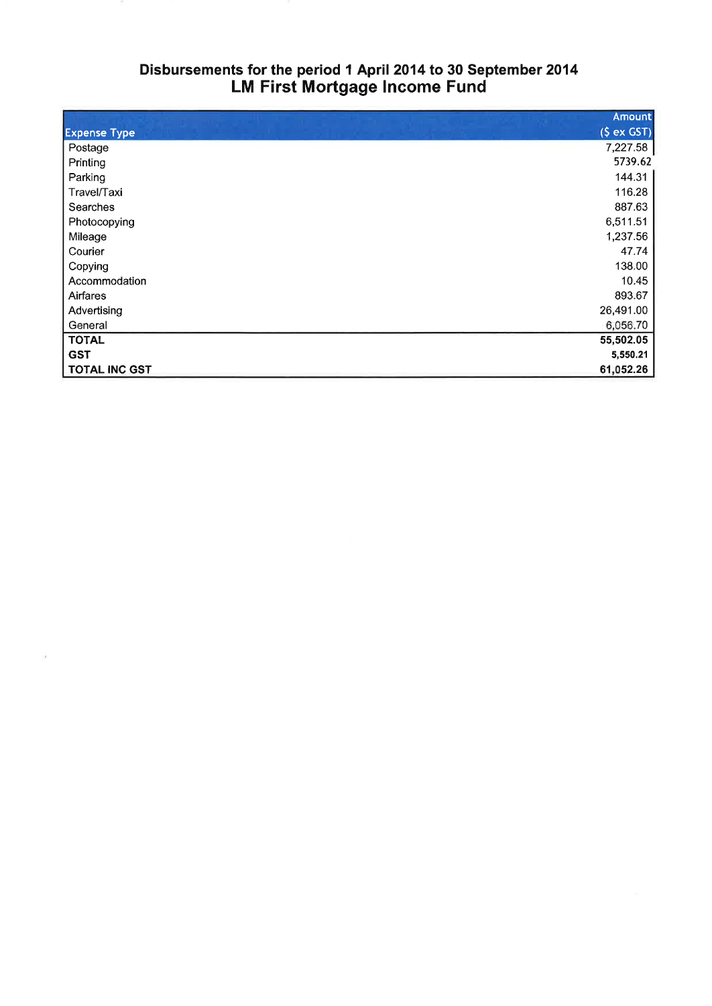# Disbursements for the period I April 2014 to 30 September 2014 LM First Mortgage Income Fund

|                      | <b>Amount</b> |
|----------------------|---------------|
| <b>Expense Type</b>  | (S ex GST)    |
| Postage              | 7,227.58      |
| Printing             | 5739.62       |
| Parking              | 144.31        |
| Travel/Taxi          | 116.28        |
| Searches             | 887.63        |
| Photocopying         | 6,511.51      |
| Mileage              | 1,237.56      |
| Courier              | 47.74         |
| Copying              | 138.00        |
| Accommodation        | 10.45         |
| Airfares             | 893.67        |
| Advertising          | 26,491.00     |
| General              | 6,056.70      |
| <b>TOTAL</b>         | 55,502.05     |
| <b>GST</b>           | 5,550.21      |
| <b>TOTAL INC GST</b> | 61,052.26     |